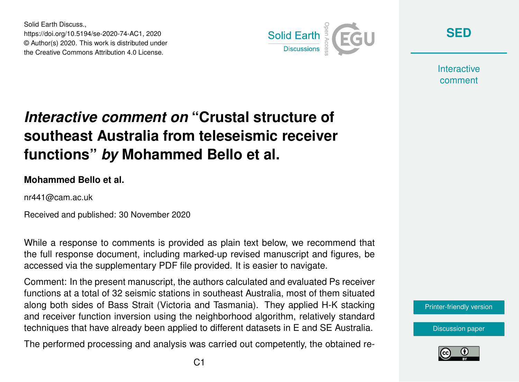Solid Earth Discuss., https://doi.org/10.5194/se-2020-74-AC1, 2020 © Author(s) 2020. This work is distributed under the Creative Commons Attribution 4.0 License.



**[SED](https://se.copernicus.org/preprints/)**

**Interactive** comment

# *Interactive comment on* **"Crustal structure of southeast Australia from teleseismic receiver functions"** *by* **Mohammed Bello et al.**

#### **Mohammed Bello et al.**

nr441@cam.ac.uk

Received and published: 30 November 2020

While a response to comments is provided as plain text below, we recommend that the full response document, including marked-up revised manuscript and figures, be accessed via the supplementary PDF file provided. It is easier to navigate.

Comment: In the present manuscript, the authors calculated and evaluated Ps receiver functions at a total of 32 seismic stations in southeast Australia, most of them situated along both sides of Bass Strait (Victoria and Tasmania). They applied H-K stacking and receiver function inversion using the neighborhood algorithm, relatively standard techniques that have already been applied to different datasets in E and SE Australia.

The performed processing and analysis was carried out competently, the obtained re-

[Printer-friendly version](https://se.copernicus.org/preprints/se-2020-74/se-2020-74-AC1-print.pdf)

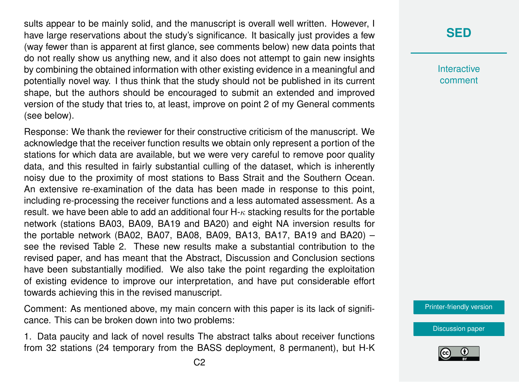sults appear to be mainly solid, and the manuscript is overall well written. However, I have large reservations about the study's significance. It basically just provides a few (way fewer than is apparent at first glance, see comments below) new data points that do not really show us anything new, and it also does not attempt to gain new insights by combining the obtained information with other existing evidence in a meaningful and potentially novel way. I thus think that the study should not be published in its current shape, but the authors should be encouraged to submit an extended and improved version of the study that tries to, at least, improve on point 2 of my General comments (see below).

Response: We thank the reviewer for their constructive criticism of the manuscript. We acknowledge that the receiver function results we obtain only represent a portion of the stations for which data are available, but we were very careful to remove poor quality data, and this resulted in fairly substantial culling of the dataset, which is inherently noisy due to the proximity of most stations to Bass Strait and the Southern Ocean. An extensive re-examination of the data has been made in response to this point, including re-processing the receiver functions and a less automated assessment. As a result. we have been able to add an additional four  $H_{\kappa}$  stacking results for the portable network (stations BA03, BA09, BA19 and BA20) and eight NA inversion results for the portable network (BA02, BA07, BA08, BA09, BA13, BA17, BA19 and BA20) – see the revised Table 2. These new results make a substantial contribution to the revised paper, and has meant that the Abstract, Discussion and Conclusion sections have been substantially modified. We also take the point regarding the exploitation of existing evidence to improve our interpretation, and have put considerable effort towards achieving this in the revised manuscript.

Comment: As mentioned above, my main concern with this paper is its lack of significance. This can be broken down into two problems:

1. Data paucity and lack of novel results The abstract talks about receiver functions from 32 stations (24 temporary from the BASS deployment, 8 permanent), but H-K

#### **[SED](https://se.copernicus.org/preprints/)**

**Interactive** comment

[Printer-friendly version](https://se.copernicus.org/preprints/se-2020-74/se-2020-74-AC1-print.pdf)

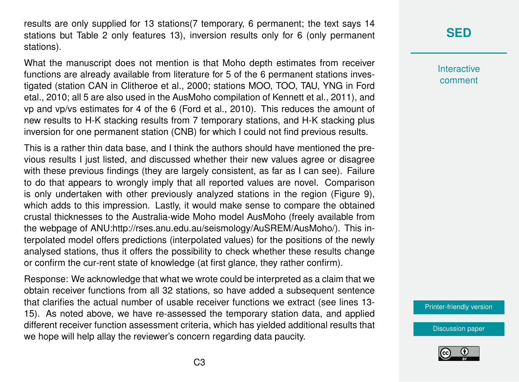results are only supplied for 13 stations(7 temporary, 6 permanent; the text says 14 stations but Table 2 only features 13), inversion results only for 6 (only permanent stations).

What the manuscript does not mention is that Moho depth estimates from receiver functions are already available from literature for 5 of the 6 permanent stations investigated (station CAN in Clitheroe et al., 2000; stations MOO, TOO, TAU, YNG in Ford etal., 2010; all 5 are also used in the AusMoho compilation of Kennett et al., 2011), and vp and vp/vs estimates for 4 of the 6 (Ford et al., 2010). This reduces the amount of new results to H-K stacking results from 7 temporary stations, and H-K stacking plus inversion for one permanent station (CNB) for which I could not find previous results.

This is a rather thin data base, and I think the authors should have mentioned the previous results I just listed, and discussed whether their new values agree or disagree with these previous findings (they are largely consistent, as far as I can see). Failure to do that appears to wrongly imply that all reported values are novel. Comparison is only undertaken with other previously analyzed stations in the region (Figure 9), which adds to this impression. Lastly, it would make sense to compare the obtained crustal thicknesses to the Australia-wide Moho model AusMoho (freely available from the webpage of ANU:http://rses.anu.edu.au/seismology/AuSREM/AusMoho/). This interpolated model offers predictions (interpolated values) for the positions of the newly analysed stations, thus it offers the possibility to check whether these results change or confirm the cur-rent state of knowledge (at first glance, they rather confirm).

Response: We acknowledge that what we wrote could be interpreted as a claim that we obtain receiver functions from all 32 stations, so have added a subsequent sentence that clarifies the actual number of usable receiver functions we extract (see lines 13- 15). As noted above, we have re-assessed the temporary station data, and applied different receiver function assessment criteria, which has yielded additional results that we hope will help allay the reviewer's concern regarding data paucity.

# **[SED](https://se.copernicus.org/preprints/)**

**Interactive** comment

[Printer-friendly version](https://se.copernicus.org/preprints/se-2020-74/se-2020-74-AC1-print.pdf)

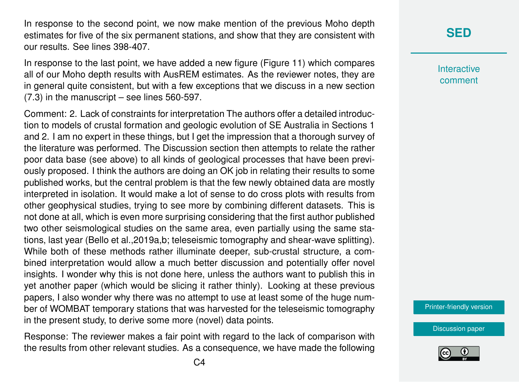In response to the second point, we now make mention of the previous Moho depth estimates for five of the six permanent stations, and show that they are consistent with our results. See lines 398-407.

In response to the last point, we have added a new figure (Figure 11) which compares all of our Moho depth results with AusREM estimates. As the reviewer notes, they are in general quite consistent, but with a few exceptions that we discuss in a new section (7.3) in the manuscript – see lines 560-597.

Comment: 2. Lack of constraints for interpretation The authors offer a detailed introduction to models of crustal formation and geologic evolution of SE Australia in Sections 1 and 2. I am no expert in these things, but I get the impression that a thorough survey of the literature was performed. The Discussion section then attempts to relate the rather poor data base (see above) to all kinds of geological processes that have been previously proposed. I think the authors are doing an OK job in relating their results to some published works, but the central problem is that the few newly obtained data are mostly interpreted in isolation. It would make a lot of sense to do cross plots with results from other geophysical studies, trying to see more by combining different datasets. This is not done at all, which is even more surprising considering that the first author published two other seismological studies on the same area, even partially using the same stations, last year (Bello et al.,2019a,b; teleseismic tomography and shear-wave splitting). While both of these methods rather illuminate deeper, sub-crustal structure, a combined interpretation would allow a much better discussion and potentially offer novel insights. I wonder why this is not done here, unless the authors want to publish this in yet another paper (which would be slicing it rather thinly). Looking at these previous papers, I also wonder why there was no attempt to use at least some of the huge number of WOMBAT temporary stations that was harvested for the teleseismic tomography in the present study, to derive some more (novel) data points.

Response: The reviewer makes a fair point with regard to the lack of comparison with the results from other relevant studies. As a consequence, we have made the following

#### **[SED](https://se.copernicus.org/preprints/)**

**Interactive** comment

[Printer-friendly version](https://se.copernicus.org/preprints/se-2020-74/se-2020-74-AC1-print.pdf)

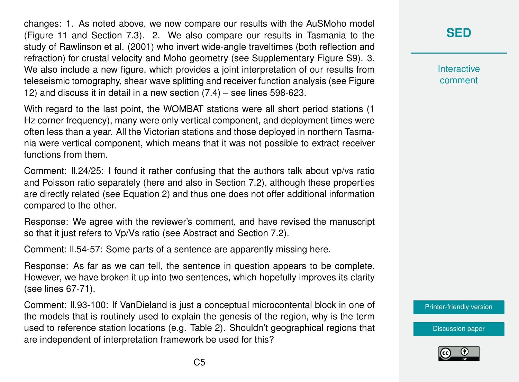changes: 1. As noted above, we now compare our results with the AuSMoho model (Figure 11 and Section 7.3). 2. We also compare our results in Tasmania to the study of Rawlinson et al. (2001) who invert wide-angle traveltimes (both reflection and refraction) for crustal velocity and Moho geometry (see Supplementary Figure S9). 3. We also include a new figure, which provides a joint interpretation of our results from teleseismic tomography, shear wave splitting and receiver function analysis (see Figure 12) and discuss it in detail in a new section (7.4) – see lines 598-623.

With regard to the last point, the WOMBAT stations were all short period stations (1 Hz corner frequency), many were only vertical component, and deployment times were often less than a year. All the Victorian stations and those deployed in northern Tasmania were vertical component, which means that it was not possible to extract receiver functions from them.

Comment: ll.24/25: I found it rather confusing that the authors talk about vp/vs ratio and Poisson ratio separately (here and also in Section 7.2), although these properties are directly related (see Equation 2) and thus one does not offer additional information compared to the other.

Response: We agree with the reviewer's comment, and have revised the manuscript so that it just refers to Vp/Vs ratio (see Abstract and Section 7.2).

Comment: ll.54-57: Some parts of a sentence are apparently missing here.

Response: As far as we can tell, the sentence in question appears to be complete. However, we have broken it up into two sentences, which hopefully improves its clarity (see lines 67-71).

Comment: ll.93-100: If VanDieland is just a conceptual microcontental block in one of the models that is routinely used to explain the genesis of the region, why is the term used to reference station locations (e.g. Table 2). Shouldn't geographical regions that are independent of interpretation framework be used for this?

# **[SED](https://se.copernicus.org/preprints/)**

**Interactive** comment

[Printer-friendly version](https://se.copernicus.org/preprints/se-2020-74/se-2020-74-AC1-print.pdf)

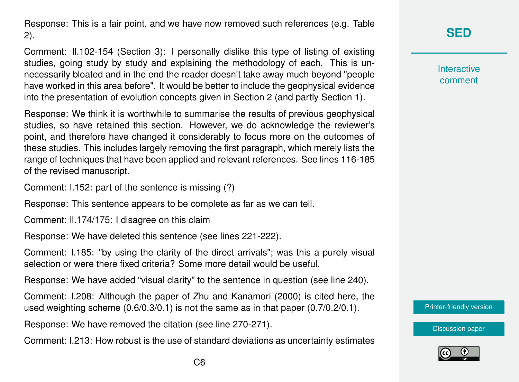Response: This is a fair point, and we have now removed such references (e.g. Table 2).

Comment: ll.102-154 (Section 3): I personally dislike this type of listing of existing studies, going study by study and explaining the methodology of each. This is unnecessarily bloated and in the end the reader doesn't take away much beyond "people have worked in this area before". It would be better to include the geophysical evidence into the presentation of evolution concepts given in Section 2 (and partly Section 1).

Response: We think it is worthwhile to summarise the results of previous geophysical studies, so have retained this section. However, we do acknowledge the reviewer's point, and therefore have changed it considerably to focus more on the outcomes of these studies. This includes largely removing the first paragraph, which merely lists the range of techniques that have been applied and relevant references. See lines 116-185 of the revised manuscript.

Comment: l.152: part of the sentence is missing (?)

Response: This sentence appears to be complete as far as we can tell.

Comment: ll.174/175: I disagree on this claim

Response: We have deleted this sentence (see lines 221-222).

Comment: l.185: "by using the clarity of the direct arrivals"; was this a purely visual selection or were there fixed criteria? Some more detail would be useful.

Response: We have added "visual clarity" to the sentence in question (see line 240).

Comment: l.208: Although the paper of Zhu and Kanamori (2000) is cited here, the used weighting scheme (0.6/0.3/0.1) is not the same as in that paper (0.7/0.2/0.1).

Response: We have removed the citation (see line 270-271).

Comment: l.213: How robust is the use of standard deviations as uncertainty estimates

# **[SED](https://se.copernicus.org/preprints/)**

**Interactive** comment

[Printer-friendly version](https://se.copernicus.org/preprints/se-2020-74/se-2020-74-AC1-print.pdf)

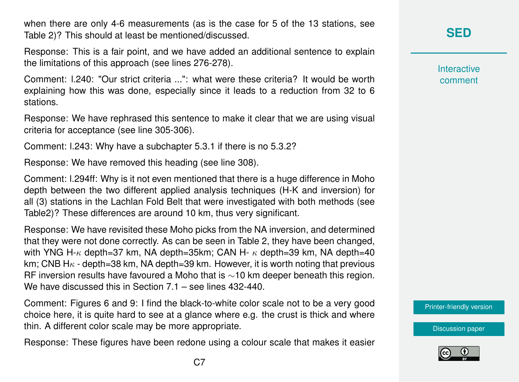when there are only 4-6 measurements (as is the case for 5 of the 13 stations, see Table 2)? This should at least be mentioned/discussed.

Response: This is a fair point, and we have added an additional sentence to explain the limitations of this approach (see lines 276-278).

Comment: l.240: "Our strict criteria ...": what were these criteria? It would be worth explaining how this was done, especially since it leads to a reduction from 32 to 6 stations.

Response: We have rephrased this sentence to make it clear that we are using visual criteria for acceptance (see line 305-306).

Comment: l.243: Why have a subchapter 5.3.1 if there is no 5.3.2?

Response: We have removed this heading (see line 308).

Comment: l.294ff: Why is it not even mentioned that there is a huge difference in Moho depth between the two different applied analysis techniques (H-K and inversion) for all (3) stations in the Lachlan Fold Belt that were investigated with both methods (see Table2)? These differences are around 10 km, thus very significant.

Response: We have revisited these Moho picks from the NA inversion, and determined that they were not done correctly. As can be seen in Table 2, they have been changed, with YNG H- $\kappa$  depth=37 km, NA depth=35km; CAN H- $\kappa$  depth=39 km, NA depth=40 km; CNB  $H_{\kappa}$  - depth=38 km, NA depth=39 km. However, it is worth noting that previous RF inversion results have favoured a Moho that is ∼10 km deeper beneath this region. We have discussed this in Section 7.1 – see lines 432-440.

Comment: Figures 6 and 9: I find the black-to-white color scale not to be a very good choice here, it is quite hard to see at a glance where e.g. the crust is thick and where thin. A different color scale may be more appropriate.

Response: These figures have been redone using a colour scale that makes it easier

### **[SED](https://se.copernicus.org/preprints/)**

**Interactive** comment

[Printer-friendly version](https://se.copernicus.org/preprints/se-2020-74/se-2020-74-AC1-print.pdf)